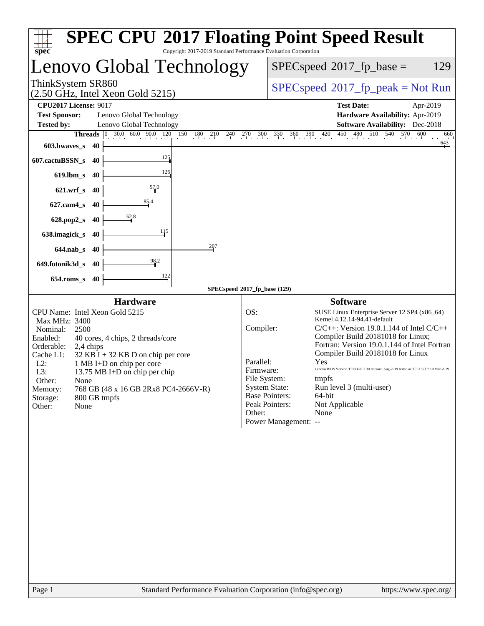| Copyright 2017-2019 Standard Performance Evaluation Corporation<br>spec <sup>®</sup>                                                                                                                                                                                                                                                                                                                                                                 |                                                                                              | <b>SPEC CPU®2017 Floating Point Speed Result</b>                                                                                                                                                                                                                                                                                                                                                                                                                                                                     |
|------------------------------------------------------------------------------------------------------------------------------------------------------------------------------------------------------------------------------------------------------------------------------------------------------------------------------------------------------------------------------------------------------------------------------------------------------|----------------------------------------------------------------------------------------------|----------------------------------------------------------------------------------------------------------------------------------------------------------------------------------------------------------------------------------------------------------------------------------------------------------------------------------------------------------------------------------------------------------------------------------------------------------------------------------------------------------------------|
| Lenovo Global Technology                                                                                                                                                                                                                                                                                                                                                                                                                             |                                                                                              | $SPEC speed^{\circ}2017$ _fp_base =<br>129                                                                                                                                                                                                                                                                                                                                                                                                                                                                           |
| ThinkSystem SR860<br>$(2.50 \text{ GHz}, \text{Intel Xeon Gold } 5215)$                                                                                                                                                                                                                                                                                                                                                                              |                                                                                              | $SPEC speed^{\circ}2017\_fp\_peak = Not Run$                                                                                                                                                                                                                                                                                                                                                                                                                                                                         |
| <b>CPU2017 License: 9017</b><br><b>Test Sponsor:</b><br>Lenovo Global Technology<br><b>Tested by:</b><br>Lenovo Global Technology<br><b>Threads</b><br>603.bwayes s<br>40<br>125<br>607.cactuBSSN_s<br>40<br>126<br>$619$ .lbm_s<br>40<br>$\frac{97.0}{4}$<br>$621.wrf$ <sub>S</sub><br>40<br>85.4<br>$627$ .cam $4_s$<br>40<br>52.8<br>628.pop2_s<br>40<br>115<br>638.imagick_s<br>40<br>207<br>$644$ .nab s<br>40<br>98.2<br>649.fotonik3d_s<br>40 |                                                                                              | <b>Test Date:</b><br>Apr-2019<br>Hardware Availability: Apr-2019<br><b>Software Availability:</b> Dec-2018<br>$\begin{bmatrix} 0 & 30.0 & 60.0 & 90.0 & 120 \ 1 & 0 & 0 & 1 & 1 \end{bmatrix}$ 1, $\begin{bmatrix} 180 & 210 & 240 & 270 & 300 & 330 & 360 & 390 & 420 & 450 & 480 & 510 & 540 & 570 & 600 \ 1 & 0 & 0 & 1 & 1 & 1 \end{bmatrix}$<br>660<br>$\frac{643}{ }$                                                                                                                                          |
| $\frac{122}{1}$<br>$654$ .roms_s<br>40                                                                                                                                                                                                                                                                                                                                                                                                               | SPECspeed®2017_fp_base (129)                                                                 |                                                                                                                                                                                                                                                                                                                                                                                                                                                                                                                      |
| <b>Hardware</b><br>CPU Name: Intel Xeon Gold 5215<br>Max MHz: 3400<br>Nominal:<br>2500<br>Enabled:<br>40 cores, 4 chips, 2 threads/core<br>Orderable:<br>2,4 chips<br>Cache L1:<br>$32$ KB I + 32 KB D on chip per core<br>$L2$ :<br>1 MB I+D on chip per core<br>L3:<br>13.75 MB I+D on chip per chip<br>Other:<br>None<br>768 GB (48 x 16 GB 2Rx8 PC4-2666V-R)<br>Memory:<br>800 GB tmpfs<br>Storage:<br>Other:<br>None                            | OS:<br>Compiler:<br>Parallel:<br>Firmware:<br>File System:<br><b>System State:</b><br>Other: | <b>Software</b><br>SUSE Linux Enterprise Server 12 SP4 (x86_64)<br>Kernel 4.12.14-94.41-default<br>$C/C++$ : Version 19.0.1.144 of Intel $C/C++$<br>Compiler Build 20181018 for Linux;<br>Fortran: Version 19.0.1.144 of Intel Fortran<br>Compiler Build 20181018 for Linux<br>Yes<br>Lenovo BIOS Version TEE142E 2.30 released Aug-2019 tested as TEE135T 2.10 Mar-2019<br>tmpfs<br>Run level 3 (multi-user)<br><b>Base Pointers:</b><br>64-bit<br>Peak Pointers:<br>Not Applicable<br>None<br>Power Management: -- |
| Standard Performance Evaluation Corporation (info@spec.org)<br>Page 1                                                                                                                                                                                                                                                                                                                                                                                |                                                                                              | https://www.spec.org/                                                                                                                                                                                                                                                                                                                                                                                                                                                                                                |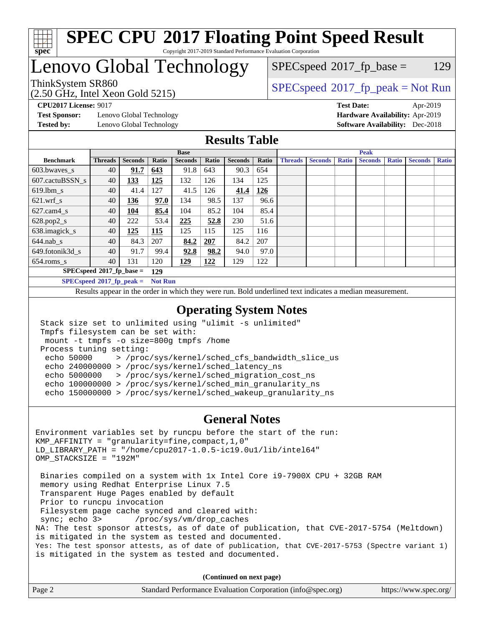

### **[SPEC CPU](http://www.spec.org/auto/cpu2017/Docs/result-fields.html#SPECCPU2017FloatingPointSpeedResult)[2017 Floating Point Speed Result](http://www.spec.org/auto/cpu2017/Docs/result-fields.html#SPECCPU2017FloatingPointSpeedResult)** Copyright 2017-2019 Standard Performance Evaluation Corporation

## Lenovo Global Technology

(2.50 GHz, Intel Xeon Gold 5215)

 $SPEC speed^{\circ}2017\_fp\_base = 129$ 

## ThinkSystem SR860<br>  $SPEC speed^{\circ}2017$ \_fp\_peak = Not Run

**[Test Sponsor:](http://www.spec.org/auto/cpu2017/Docs/result-fields.html#TestSponsor)** Lenovo Global Technology **[Hardware Availability:](http://www.spec.org/auto/cpu2017/Docs/result-fields.html#HardwareAvailability)** Apr-2019 **[Tested by:](http://www.spec.org/auto/cpu2017/Docs/result-fields.html#Testedby)** Lenovo Global Technology **[Software Availability:](http://www.spec.org/auto/cpu2017/Docs/result-fields.html#SoftwareAvailability)** Dec-2018

**[CPU2017 License:](http://www.spec.org/auto/cpu2017/Docs/result-fields.html#CPU2017License)** 9017 **[Test Date:](http://www.spec.org/auto/cpu2017/Docs/result-fields.html#TestDate)** Apr-2019

## **[Results Table](http://www.spec.org/auto/cpu2017/Docs/result-fields.html#ResultsTable)**

|                  | <b>Base</b>                 |                |                |                |       | <b>Peak</b>    |       |                |                |              |                |              |                |              |
|------------------|-----------------------------|----------------|----------------|----------------|-------|----------------|-------|----------------|----------------|--------------|----------------|--------------|----------------|--------------|
| <b>Benchmark</b> | <b>Threads</b>              | <b>Seconds</b> | Ratio          | <b>Seconds</b> | Ratio | <b>Seconds</b> | Ratio | <b>Threads</b> | <b>Seconds</b> | <b>Ratio</b> | <b>Seconds</b> | <b>Ratio</b> | <b>Seconds</b> | <b>Ratio</b> |
| 603.bwayes s     | 40                          | 91.7           | 643            | 91.8           | 643   | 90.3           | 654   |                |                |              |                |              |                |              |
| 607.cactuBSSN s  | 40                          | <u>133</u>     | 125            | 132            | 126   | 134            | 125   |                |                |              |                |              |                |              |
| $619.$ lbm s     | 40                          | 41.4           | 127            | 41.5           | 126   | 41.4           | 126   |                |                |              |                |              |                |              |
| $621.wrf$ s      | 40                          | 136            | 97.0           | 134            | 98.5  | 137            | 96.6  |                |                |              |                |              |                |              |
| $627$ .cam4 s    | 40                          | 104            | 85.4           | 104            | 85.2  | 104            | 85.4  |                |                |              |                |              |                |              |
| $628.pop2_s$     | 40                          | 222            | 53.4           | 225            | 52.8  | 230            | 51.6  |                |                |              |                |              |                |              |
| 638.imagick_s    | 40                          | 125            | 115            | 125            | 115   | 125            | 116   |                |                |              |                |              |                |              |
| $644$ .nab s     | 40                          | 84.3           | 207            | 84.2           | 207   | 84.2           | 207   |                |                |              |                |              |                |              |
| 649.fotonik3d s  | 40                          | 91.7           | 99.4           | 92.8           | 98.2  | 94.0           | 97.0  |                |                |              |                |              |                |              |
| $654$ .roms s    | 40                          | 131            | 120            | 129            | 122   | 129            | 122   |                |                |              |                |              |                |              |
|                  | $SPECspeed*2017_fp\_base =$ |                | 129            |                |       |                |       |                |                |              |                |              |                |              |
|                  | $SPECspeed*2017_fp\_peak =$ |                | <b>Not Run</b> |                |       |                |       |                |                |              |                |              |                |              |

Results appear in the [order in which they were run.](http://www.spec.org/auto/cpu2017/Docs/result-fields.html#RunOrder) Bold underlined text [indicates a median measurement](http://www.spec.org/auto/cpu2017/Docs/result-fields.html#Median).

## **[Operating System Notes](http://www.spec.org/auto/cpu2017/Docs/result-fields.html#OperatingSystemNotes)**

```
 Stack size set to unlimited using "ulimit -s unlimited"
 Tmpfs filesystem can be set with:
 mount -t tmpfs -o size=800g tmpfs /home
 Process tuning setting:
  echo 50000 > /proc/sys/kernel/sched_cfs_bandwidth_slice_us
  echo 240000000 > /proc/sys/kernel/sched_latency_ns
  echo 5000000 > /proc/sys/kernel/sched_migration_cost_ns
  echo 100000000 > /proc/sys/kernel/sched_min_granularity_ns
  echo 150000000 > /proc/sys/kernel/sched_wakeup_granularity_ns
```
#### **[General Notes](http://www.spec.org/auto/cpu2017/Docs/result-fields.html#GeneralNotes)**

Environment variables set by runcpu before the start of the run: KMP\_AFFINITY = "granularity=fine,compact,1,0" LD\_LIBRARY\_PATH = "/home/cpu2017-1.0.5-ic19.0u1/lib/intel64" OMP\_STACKSIZE = "192M" Binaries compiled on a system with 1x Intel Core i9-7900X CPU + 32GB RAM memory using Redhat Enterprise Linux 7.5 Transparent Huge Pages enabled by default Prior to runcpu invocation Filesystem page cache synced and cleared with: sync; echo 3> /proc/sys/vm/drop\_caches NA: The test sponsor attests, as of date of publication, that CVE-2017-5754 (Meltdown) is mitigated in the system as tested and documented. Yes: The test sponsor attests, as of date of publication, that CVE-2017-5753 (Spectre variant 1) is mitigated in the system as tested and documented.

**(Continued on next page)**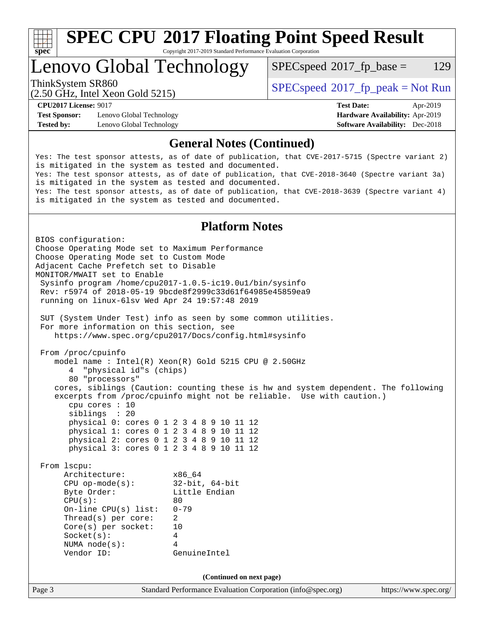

# **[SPEC CPU](http://www.spec.org/auto/cpu2017/Docs/result-fields.html#SPECCPU2017FloatingPointSpeedResult)[2017 Floating Point Speed Result](http://www.spec.org/auto/cpu2017/Docs/result-fields.html#SPECCPU2017FloatingPointSpeedResult)**

Copyright 2017-2019 Standard Performance Evaluation Corporation

Lenovo Global Technology

 $SPECspeed^{\circ}2017\_fp\_base = 129$  $SPECspeed^{\circ}2017\_fp\_base = 129$ 

(2.50 GHz, Intel Xeon Gold 5215) ThinkSystem SR860<br>  $SPEC speed^{\circ}2017$ \_fp\_peak = Not Run

**[Test Sponsor:](http://www.spec.org/auto/cpu2017/Docs/result-fields.html#TestSponsor)** Lenovo Global Technology **[Hardware Availability:](http://www.spec.org/auto/cpu2017/Docs/result-fields.html#HardwareAvailability)** Apr-2019 **[Tested by:](http://www.spec.org/auto/cpu2017/Docs/result-fields.html#Testedby)** Lenovo Global Technology **[Software Availability:](http://www.spec.org/auto/cpu2017/Docs/result-fields.html#SoftwareAvailability)** Dec-2018

**[CPU2017 License:](http://www.spec.org/auto/cpu2017/Docs/result-fields.html#CPU2017License)** 9017 **[Test Date:](http://www.spec.org/auto/cpu2017/Docs/result-fields.html#TestDate)** Apr-2019

## **[General Notes \(Continued\)](http://www.spec.org/auto/cpu2017/Docs/result-fields.html#GeneralNotes)**

Yes: The test sponsor attests, as of date of publication, that CVE-2017-5715 (Spectre variant 2) is mitigated in the system as tested and documented. Yes: The test sponsor attests, as of date of publication, that CVE-2018-3640 (Spectre variant 3a) is mitigated in the system as tested and documented. Yes: The test sponsor attests, as of date of publication, that CVE-2018-3639 (Spectre variant 4) is mitigated in the system as tested and documented.

## **[Platform Notes](http://www.spec.org/auto/cpu2017/Docs/result-fields.html#PlatformNotes)**

Page 3 Standard Performance Evaluation Corporation [\(info@spec.org\)](mailto:info@spec.org) <https://www.spec.org/> BIOS configuration: Choose Operating Mode set to Maximum Performance Choose Operating Mode set to Custom Mode Adjacent Cache Prefetch set to Disable MONITOR/MWAIT set to Enable Sysinfo program /home/cpu2017-1.0.5-ic19.0u1/bin/sysinfo Rev: r5974 of 2018-05-19 9bcde8f2999c33d61f64985e45859ea9 running on linux-6lsv Wed Apr 24 19:57:48 2019 SUT (System Under Test) info as seen by some common utilities. For more information on this section, see <https://www.spec.org/cpu2017/Docs/config.html#sysinfo> From /proc/cpuinfo model name : Intel(R) Xeon(R) Gold 5215 CPU @ 2.50GHz 4 "physical id"s (chips) 80 "processors" cores, siblings (Caution: counting these is hw and system dependent. The following excerpts from /proc/cpuinfo might not be reliable. Use with caution.) cpu cores : 10 siblings : 20 physical 0: cores 0 1 2 3 4 8 9 10 11 12 physical 1: cores 0 1 2 3 4 8 9 10 11 12 physical 2: cores 0 1 2 3 4 8 9 10 11 12 physical 3: cores 0 1 2 3 4 8 9 10 11 12 From lscpu: Architecture: x86\_64 CPU op-mode(s): 32-bit, 64-bit Byte Order: Little Endian  $CPU(s):$  80 On-line CPU(s) list: 0-79 Thread(s) per core: 2 Core(s) per socket: 10 Socket(s): 4 NUMA node(s): 4 Vendor ID: GenuineIntel **(Continued on next page)**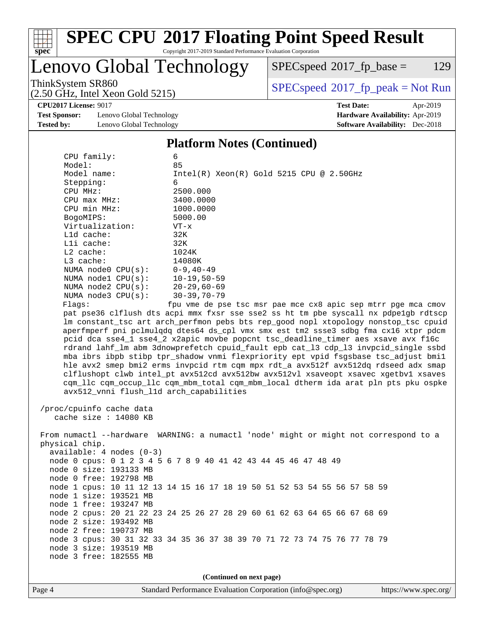

# **[SPEC CPU](http://www.spec.org/auto/cpu2017/Docs/result-fields.html#SPECCPU2017FloatingPointSpeedResult)[2017 Floating Point Speed Result](http://www.spec.org/auto/cpu2017/Docs/result-fields.html#SPECCPU2017FloatingPointSpeedResult)**

Copyright 2017-2019 Standard Performance Evaluation Corporation

## Lenovo Global Technology

 $SPEC speed^{\circ}2017\_fp\_base = 129$ 

(2.50 GHz, Intel Xeon Gold 5215)

ThinkSystem SR860<br>  $SPECTI<sub>z</sub> Intel Yesp *Col15215*$   $SPECTI<sub>z</sub> Intel Yesp *Col15215*$ 

**[CPU2017 License:](http://www.spec.org/auto/cpu2017/Docs/result-fields.html#CPU2017License)** 9017 **[Test Date:](http://www.spec.org/auto/cpu2017/Docs/result-fields.html#TestDate)** Apr-2019

**[Test Sponsor:](http://www.spec.org/auto/cpu2017/Docs/result-fields.html#TestSponsor)** Lenovo Global Technology **[Hardware Availability:](http://www.spec.org/auto/cpu2017/Docs/result-fields.html#HardwareAvailability)** Apr-2019 **[Tested by:](http://www.spec.org/auto/cpu2017/Docs/result-fields.html#Testedby)** Lenovo Global Technology **[Software Availability:](http://www.spec.org/auto/cpu2017/Docs/result-fields.html#SoftwareAvailability)** Dec-2018

#### **[Platform Notes \(Continued\)](http://www.spec.org/auto/cpu2017/Docs/result-fields.html#PlatformNotes)**

 CPU family: 6 Model: 85 Model name: Intel(R) Xeon(R) Gold 5215 CPU @ 2.50GHz Stepping: 6 CPU MHz: 2500.000 CPU max MHz: 3400.0000 CPU min MHz:  $1000.0000$ <br>BogoMIPS: 5000.00 BogoMIPS: Virtualization: VT-x L1d cache: 32K L1i cache: 32K L2 cache: 1024K L3 cache: 14080K NUMA node0 CPU(s): 0-9,40-49 NUMA node1 CPU(s): 10-19,50-59 NUMA node2 CPU(s): 20-29,60-69 NUMA node3 CPU(s): 30-39,70-79 Flags: fpu vme de pse tsc msr pae mce cx8 apic sep mtrr pge mca cmov pat pse36 clflush dts acpi mmx fxsr sse sse2 ss ht tm pbe syscall nx pdpe1gb rdtscp lm constant\_tsc art arch\_perfmon pebs bts rep\_good nopl xtopology nonstop\_tsc cpuid aperfmperf pni pclmulqdq dtes64 ds\_cpl vmx smx est tm2 ssse3 sdbg fma cx16 xtpr pdcm pcid dca sse4\_1 sse4\_2 x2apic movbe popcnt tsc\_deadline\_timer aes xsave avx f16c rdrand lahf\_lm abm 3dnowprefetch cpuid\_fault epb cat\_l3 cdp\_l3 invpcid\_single ssbd mba ibrs ibpb stibp tpr\_shadow vnmi flexpriority ept vpid fsgsbase tsc\_adjust bmi1 hle avx2 smep bmi2 erms invpcid rtm cqm mpx rdt\_a avx512f avx512dq rdseed adx smap clflushopt clwb intel\_pt avx512cd avx512bw avx512vl xsaveopt xsavec xgetbv1 xsaves cqm\_llc cqm\_occup\_llc cqm\_mbm\_total cqm\_mbm\_local dtherm ida arat pln pts pku ospke

 /proc/cpuinfo cache data cache size : 14080 KB

avx512\_vnni flush\_l1d arch\_capabilities

 From numactl --hardware WARNING: a numactl 'node' might or might not correspond to a physical chip. available: 4 nodes (0-3) node 0 cpus: 0 1 2 3 4 5 6 7 8 9 40 41 42 43 44 45 46 47 48 49 node 0 size: 193133 MB node 0 free: 192798 MB node 1 cpus: 10 11 12 13 14 15 16 17 18 19 50 51 52 53 54 55 56 57 58 59 node 1 size: 193521 MB node 1 free: 193247 MB node 2 cpus: 20 21 22 23 24 25 26 27 28 29 60 61 62 63 64 65 66 67 68 69 node 2 size: 193492 MB node 2 free: 190737 MB node 3 cpus: 30 31 32 33 34 35 36 37 38 39 70 71 72 73 74 75 76 77 78 79 node 3 size: 193519 MB node 3 free: 182555 MB

**(Continued on next page)**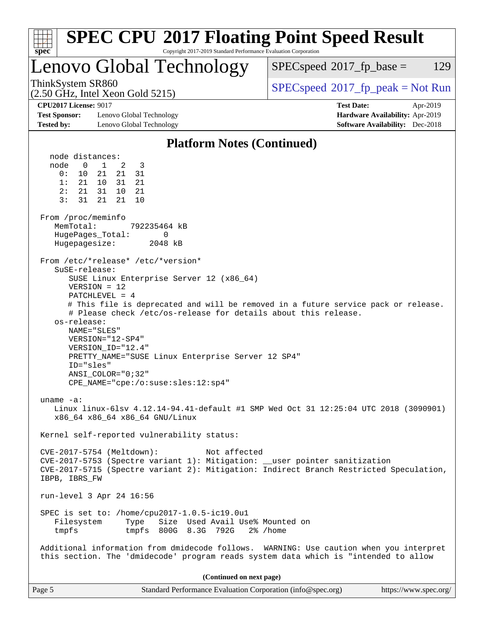| <b>SPEC CPU®2017 Floating Point Speed Result</b><br>Copyright 2017-2019 Standard Performance Evaluation Corporation<br>spec <sup>®</sup> |                                                                                                                                                                                                                                                                                                                                                     |                                                                                                                                                                               |  |  |  |  |
|------------------------------------------------------------------------------------------------------------------------------------------|-----------------------------------------------------------------------------------------------------------------------------------------------------------------------------------------------------------------------------------------------------------------------------------------------------------------------------------------------------|-------------------------------------------------------------------------------------------------------------------------------------------------------------------------------|--|--|--|--|
|                                                                                                                                          | Lenovo Global Technology                                                                                                                                                                                                                                                                                                                            | 129<br>$SPEC speed^{\circ}2017\_fp\_base =$                                                                                                                                   |  |  |  |  |
| ThinkSystem SR860                                                                                                                        | $(2.50 \text{ GHz}, \text{Intel Xeon Gold } 5215)$                                                                                                                                                                                                                                                                                                  | $SPEC speed^{\circ}2017\_fp\_peak = Not Run$                                                                                                                                  |  |  |  |  |
| <b>CPU2017 License: 9017</b><br><b>Test Sponsor:</b><br><b>Tested by:</b>                                                                | Lenovo Global Technology<br>Lenovo Global Technology                                                                                                                                                                                                                                                                                                | <b>Test Date:</b><br>Apr-2019<br>Hardware Availability: Apr-2019<br><b>Software Availability:</b> Dec-2018                                                                    |  |  |  |  |
|                                                                                                                                          | <b>Platform Notes (Continued)</b>                                                                                                                                                                                                                                                                                                                   |                                                                                                                                                                               |  |  |  |  |
| node distances:<br>node<br>$\mathbf{0}$<br>0:<br>10<br>1:<br>21 10<br>2:<br>21 31<br>3:<br>31<br>From /proc/meminfo                      | $\mathbf{1}$<br>2<br>3<br>21<br>31<br>21<br>31<br>21<br>10<br>21<br>21<br>21<br>10                                                                                                                                                                                                                                                                  |                                                                                                                                                                               |  |  |  |  |
| MemTotal:<br>HugePages_Total:<br>Hugepagesize:                                                                                           | 792235464 kB<br>0<br>2048 kB                                                                                                                                                                                                                                                                                                                        |                                                                                                                                                                               |  |  |  |  |
| SuSE-release:<br>os-release:<br>NAME="SLES"<br>ID="sles"                                                                                 | From /etc/*release* /etc/*version*<br>SUSE Linux Enterprise Server 12 (x86_64)<br>$VERSION = 12$<br>PATCHLEVEL = $4$<br># Please check /etc/os-release for details about this release.<br>VERSION="12-SP4"<br>VERSION ID="12.4"<br>PRETTY_NAME="SUSE Linux Enterprise Server 12 SP4"<br>ANSI $COLOR = "0;32"$<br>CPE_NAME="cpe:/o:suse:sles:12:sp4" | # This file is deprecated and will be removed in a future service pack or release.                                                                                            |  |  |  |  |
| uname $-a$ :                                                                                                                             | x86_64 x86_64 x86_64 GNU/Linux                                                                                                                                                                                                                                                                                                                      | Linux linux-61sv 4.12.14-94.41-default #1 SMP Wed Oct 31 12:25:04 UTC 2018 (3090901)                                                                                          |  |  |  |  |
|                                                                                                                                          | Kernel self-reported vulnerability status:                                                                                                                                                                                                                                                                                                          |                                                                                                                                                                               |  |  |  |  |
| IBPB, IBRS FW                                                                                                                            | CVE-2017-5754 (Meltdown):<br>Not affected<br>CVE-2017-5753 (Spectre variant 1): Mitigation: __user pointer sanitization                                                                                                                                                                                                                             | CVE-2017-5715 (Spectre variant 2): Mitigation: Indirect Branch Restricted Speculation,                                                                                        |  |  |  |  |
|                                                                                                                                          | run-level 3 Apr 24 16:56                                                                                                                                                                                                                                                                                                                            |                                                                                                                                                                               |  |  |  |  |
| Filesystem<br>tmpfs                                                                                                                      | SPEC is set to: /home/cpu2017-1.0.5-ic19.0u1<br>Type Size Used Avail Use% Mounted on<br>tmpfs 800G 8.3G 792G 2% / home                                                                                                                                                                                                                              |                                                                                                                                                                               |  |  |  |  |
|                                                                                                                                          |                                                                                                                                                                                                                                                                                                                                                     | Additional information from dmidecode follows. WARNING: Use caution when you interpret<br>this section. The 'dmidecode' program reads system data which is "intended to allow |  |  |  |  |
|                                                                                                                                          | (Continued on next page)                                                                                                                                                                                                                                                                                                                            |                                                                                                                                                                               |  |  |  |  |

| Page 5<br>Standard Performance Evaluation Corporation (info@spec.org) | https://www.spec.org/ |
|-----------------------------------------------------------------------|-----------------------|
|-----------------------------------------------------------------------|-----------------------|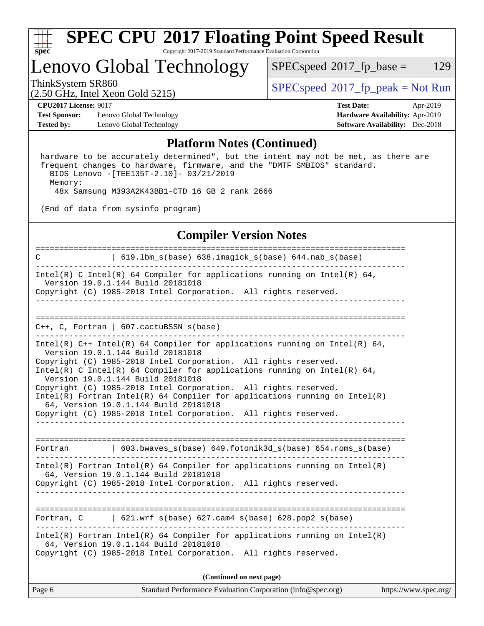

## **[SPEC CPU](http://www.spec.org/auto/cpu2017/Docs/result-fields.html#SPECCPU2017FloatingPointSpeedResult)[2017 Floating Point Speed Result](http://www.spec.org/auto/cpu2017/Docs/result-fields.html#SPECCPU2017FloatingPointSpeedResult)** Copyright 2017-2019 Standard Performance Evaluation Corporation

## Lenovo Global Technology

 $SPECspeed^{\circledcirc}2017_fp\_base = 129$  $SPECspeed^{\circledcirc}2017_fp\_base = 129$ 

(2.50 GHz, Intel Xeon Gold 5215)

ThinkSystem SR860<br>  $SPEC speed^{\circ}2017$ \_fp\_peak = Not Run

**[Test Sponsor:](http://www.spec.org/auto/cpu2017/Docs/result-fields.html#TestSponsor)** Lenovo Global Technology **[Hardware Availability:](http://www.spec.org/auto/cpu2017/Docs/result-fields.html#HardwareAvailability)** Apr-2019 **[Tested by:](http://www.spec.org/auto/cpu2017/Docs/result-fields.html#Testedby)** Lenovo Global Technology **[Software Availability:](http://www.spec.org/auto/cpu2017/Docs/result-fields.html#SoftwareAvailability)** Dec-2018

**[CPU2017 License:](http://www.spec.org/auto/cpu2017/Docs/result-fields.html#CPU2017License)** 9017 **[Test Date:](http://www.spec.org/auto/cpu2017/Docs/result-fields.html#TestDate)** Apr-2019

### **[Platform Notes \(Continued\)](http://www.spec.org/auto/cpu2017/Docs/result-fields.html#PlatformNotes)**

 hardware to be accurately determined", but the intent may not be met, as there are frequent changes to hardware, firmware, and the "DMTF SMBIOS" standard. BIOS Lenovo -[TEE135T-2.10]- 03/21/2019 Memory: 48x Samsung M393A2K43BB1-CTD 16 GB 2 rank 2666

(End of data from sysinfo program)

### **[Compiler Version Notes](http://www.spec.org/auto/cpu2017/Docs/result-fields.html#CompilerVersionNotes)**

Page 6 Standard Performance Evaluation Corporation [\(info@spec.org\)](mailto:info@spec.org) <https://www.spec.org/> ============================================================================== C | 619.lbm\_s(base) 638.imagick\_s(base) 644.nab\_s(base) ------------------------------------------------------------------------------ Intel(R) C Intel(R) 64 Compiler for applications running on Intel(R)  $64$ , Version 19.0.1.144 Build 20181018 Copyright (C) 1985-2018 Intel Corporation. All rights reserved. ------------------------------------------------------------------------------ ============================================================================== C++, C, Fortran | 607.cactuBSSN\_s(base) ------------------------------------------------------------------------------ Intel(R) C++ Intel(R) 64 Compiler for applications running on Intel(R)  $64$ , Version 19.0.1.144 Build 20181018 Copyright (C) 1985-2018 Intel Corporation. All rights reserved. Intel(R) C Intel(R) 64 Compiler for applications running on Intel(R) 64, Version 19.0.1.144 Build 20181018 Copyright (C) 1985-2018 Intel Corporation. All rights reserved. Intel(R) Fortran Intel(R) 64 Compiler for applications running on Intel(R) 64, Version 19.0.1.144 Build 20181018 Copyright (C) 1985-2018 Intel Corporation. All rights reserved. ------------------------------------------------------------------------------ ============================================================================== Fortran | 603.bwaves\_s(base) 649.fotonik3d\_s(base) 654.roms\_s(base) ------------------------------------------------------------------------------ Intel(R) Fortran Intel(R) 64 Compiler for applications running on Intel(R) 64, Version 19.0.1.144 Build 20181018 Copyright (C) 1985-2018 Intel Corporation. All rights reserved. ------------------------------------------------------------------------------ ============================================================================== Fortran, C | 621.wrf\_s(base) 627.cam4\_s(base) 628.pop2\_s(base) ------------------------------------------------------------------------------ Intel(R) Fortran Intel(R) 64 Compiler for applications running on Intel(R) 64, Version 19.0.1.144 Build 20181018 Copyright (C) 1985-2018 Intel Corporation. All rights reserved. **(Continued on next page)**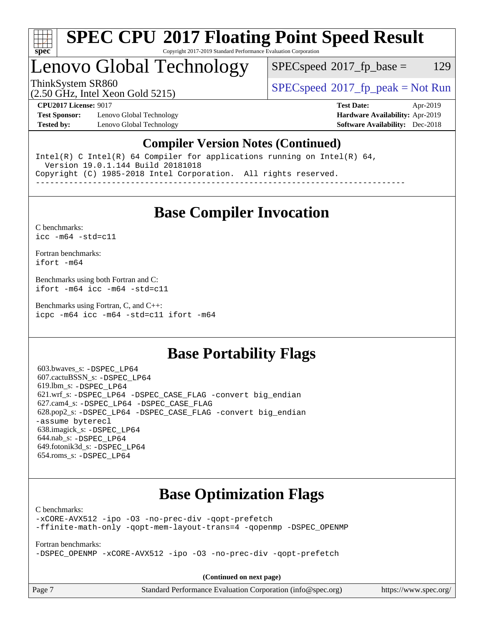

### **[SPEC CPU](http://www.spec.org/auto/cpu2017/Docs/result-fields.html#SPECCPU2017FloatingPointSpeedResult)[2017 Floating Point Speed Result](http://www.spec.org/auto/cpu2017/Docs/result-fields.html#SPECCPU2017FloatingPointSpeedResult)** Copyright 2017-2019 Standard Performance Evaluation Corporation

Lenovo Global Technology

 $SPEC speed^{\circ}2017\_fp\_base = 129$ 

ThinkSystem SR860<br>  $SPEC speed^{\circ}2017$ \_fp\_peak = Not Run

(2.50 GHz, Intel Xeon Gold 5215)

**[Test Sponsor:](http://www.spec.org/auto/cpu2017/Docs/result-fields.html#TestSponsor)** Lenovo Global Technology **[Hardware Availability:](http://www.spec.org/auto/cpu2017/Docs/result-fields.html#HardwareAvailability)** Apr-2019 **[Tested by:](http://www.spec.org/auto/cpu2017/Docs/result-fields.html#Testedby)** Lenovo Global Technology **[Software Availability:](http://www.spec.org/auto/cpu2017/Docs/result-fields.html#SoftwareAvailability)** Dec-2018

**[CPU2017 License:](http://www.spec.org/auto/cpu2017/Docs/result-fields.html#CPU2017License)** 9017 **[Test Date:](http://www.spec.org/auto/cpu2017/Docs/result-fields.html#TestDate)** Apr-2019

## **[Compiler Version Notes \(Continued\)](http://www.spec.org/auto/cpu2017/Docs/result-fields.html#CompilerVersionNotes)**

Intel(R) C Intel(R) 64 Compiler for applications running on Intel(R)  $64$ , Version 19.0.1.144 Build 20181018 Copyright (C) 1985-2018 Intel Corporation. All rights reserved. ------------------------------------------------------------------------------

**[Base Compiler Invocation](http://www.spec.org/auto/cpu2017/Docs/result-fields.html#BaseCompilerInvocation)**

[C benchmarks](http://www.spec.org/auto/cpu2017/Docs/result-fields.html#Cbenchmarks): [icc -m64 -std=c11](http://www.spec.org/cpu2017/results/res2019q3/cpu2017-20190722-16222.flags.html#user_CCbase_intel_icc_64bit_c11_33ee0cdaae7deeeab2a9725423ba97205ce30f63b9926c2519791662299b76a0318f32ddfffdc46587804de3178b4f9328c46fa7c2b0cd779d7a61945c91cd35)

[Fortran benchmarks](http://www.spec.org/auto/cpu2017/Docs/result-fields.html#Fortranbenchmarks): [ifort -m64](http://www.spec.org/cpu2017/results/res2019q3/cpu2017-20190722-16222.flags.html#user_FCbase_intel_ifort_64bit_24f2bb282fbaeffd6157abe4f878425411749daecae9a33200eee2bee2fe76f3b89351d69a8130dd5949958ce389cf37ff59a95e7a40d588e8d3a57e0c3fd751)

[Benchmarks using both Fortran and C](http://www.spec.org/auto/cpu2017/Docs/result-fields.html#BenchmarksusingbothFortranandC): [ifort -m64](http://www.spec.org/cpu2017/results/res2019q3/cpu2017-20190722-16222.flags.html#user_CC_FCbase_intel_ifort_64bit_24f2bb282fbaeffd6157abe4f878425411749daecae9a33200eee2bee2fe76f3b89351d69a8130dd5949958ce389cf37ff59a95e7a40d588e8d3a57e0c3fd751) [icc -m64 -std=c11](http://www.spec.org/cpu2017/results/res2019q3/cpu2017-20190722-16222.flags.html#user_CC_FCbase_intel_icc_64bit_c11_33ee0cdaae7deeeab2a9725423ba97205ce30f63b9926c2519791662299b76a0318f32ddfffdc46587804de3178b4f9328c46fa7c2b0cd779d7a61945c91cd35)

[Benchmarks using Fortran, C, and C++:](http://www.spec.org/auto/cpu2017/Docs/result-fields.html#BenchmarksusingFortranCandCXX) [icpc -m64](http://www.spec.org/cpu2017/results/res2019q3/cpu2017-20190722-16222.flags.html#user_CC_CXX_FCbase_intel_icpc_64bit_4ecb2543ae3f1412ef961e0650ca070fec7b7afdcd6ed48761b84423119d1bf6bdf5cad15b44d48e7256388bc77273b966e5eb805aefd121eb22e9299b2ec9d9) [icc -m64 -std=c11](http://www.spec.org/cpu2017/results/res2019q3/cpu2017-20190722-16222.flags.html#user_CC_CXX_FCbase_intel_icc_64bit_c11_33ee0cdaae7deeeab2a9725423ba97205ce30f63b9926c2519791662299b76a0318f32ddfffdc46587804de3178b4f9328c46fa7c2b0cd779d7a61945c91cd35) [ifort -m64](http://www.spec.org/cpu2017/results/res2019q3/cpu2017-20190722-16222.flags.html#user_CC_CXX_FCbase_intel_ifort_64bit_24f2bb282fbaeffd6157abe4f878425411749daecae9a33200eee2bee2fe76f3b89351d69a8130dd5949958ce389cf37ff59a95e7a40d588e8d3a57e0c3fd751)

## **[Base Portability Flags](http://www.spec.org/auto/cpu2017/Docs/result-fields.html#BasePortabilityFlags)**

 603.bwaves\_s: [-DSPEC\\_LP64](http://www.spec.org/cpu2017/results/res2019q3/cpu2017-20190722-16222.flags.html#suite_basePORTABILITY603_bwaves_s_DSPEC_LP64) 607.cactuBSSN\_s: [-DSPEC\\_LP64](http://www.spec.org/cpu2017/results/res2019q3/cpu2017-20190722-16222.flags.html#suite_basePORTABILITY607_cactuBSSN_s_DSPEC_LP64) 619.lbm\_s: [-DSPEC\\_LP64](http://www.spec.org/cpu2017/results/res2019q3/cpu2017-20190722-16222.flags.html#suite_basePORTABILITY619_lbm_s_DSPEC_LP64) 621.wrf\_s: [-DSPEC\\_LP64](http://www.spec.org/cpu2017/results/res2019q3/cpu2017-20190722-16222.flags.html#suite_basePORTABILITY621_wrf_s_DSPEC_LP64) [-DSPEC\\_CASE\\_FLAG](http://www.spec.org/cpu2017/results/res2019q3/cpu2017-20190722-16222.flags.html#b621.wrf_s_baseCPORTABILITY_DSPEC_CASE_FLAG) [-convert big\\_endian](http://www.spec.org/cpu2017/results/res2019q3/cpu2017-20190722-16222.flags.html#user_baseFPORTABILITY621_wrf_s_convert_big_endian_c3194028bc08c63ac5d04de18c48ce6d347e4e562e8892b8bdbdc0214820426deb8554edfa529a3fb25a586e65a3d812c835984020483e7e73212c4d31a38223) 627.cam4\_s: [-DSPEC\\_LP64](http://www.spec.org/cpu2017/results/res2019q3/cpu2017-20190722-16222.flags.html#suite_basePORTABILITY627_cam4_s_DSPEC_LP64) [-DSPEC\\_CASE\\_FLAG](http://www.spec.org/cpu2017/results/res2019q3/cpu2017-20190722-16222.flags.html#b627.cam4_s_baseCPORTABILITY_DSPEC_CASE_FLAG) 628.pop2\_s: [-DSPEC\\_LP64](http://www.spec.org/cpu2017/results/res2019q3/cpu2017-20190722-16222.flags.html#suite_basePORTABILITY628_pop2_s_DSPEC_LP64) [-DSPEC\\_CASE\\_FLAG](http://www.spec.org/cpu2017/results/res2019q3/cpu2017-20190722-16222.flags.html#b628.pop2_s_baseCPORTABILITY_DSPEC_CASE_FLAG) [-convert big\\_endian](http://www.spec.org/cpu2017/results/res2019q3/cpu2017-20190722-16222.flags.html#user_baseFPORTABILITY628_pop2_s_convert_big_endian_c3194028bc08c63ac5d04de18c48ce6d347e4e562e8892b8bdbdc0214820426deb8554edfa529a3fb25a586e65a3d812c835984020483e7e73212c4d31a38223) [-assume byterecl](http://www.spec.org/cpu2017/results/res2019q3/cpu2017-20190722-16222.flags.html#user_baseFPORTABILITY628_pop2_s_assume_byterecl_7e47d18b9513cf18525430bbf0f2177aa9bf368bc7a059c09b2c06a34b53bd3447c950d3f8d6c70e3faf3a05c8557d66a5798b567902e8849adc142926523472) 638.imagick\_s: [-DSPEC\\_LP64](http://www.spec.org/cpu2017/results/res2019q3/cpu2017-20190722-16222.flags.html#suite_basePORTABILITY638_imagick_s_DSPEC_LP64) 644.nab\_s: [-DSPEC\\_LP64](http://www.spec.org/cpu2017/results/res2019q3/cpu2017-20190722-16222.flags.html#suite_basePORTABILITY644_nab_s_DSPEC_LP64) 649.fotonik3d\_s: [-DSPEC\\_LP64](http://www.spec.org/cpu2017/results/res2019q3/cpu2017-20190722-16222.flags.html#suite_basePORTABILITY649_fotonik3d_s_DSPEC_LP64) 654.roms\_s: [-DSPEC\\_LP64](http://www.spec.org/cpu2017/results/res2019q3/cpu2017-20190722-16222.flags.html#suite_basePORTABILITY654_roms_s_DSPEC_LP64)

## **[Base Optimization Flags](http://www.spec.org/auto/cpu2017/Docs/result-fields.html#BaseOptimizationFlags)**

[C benchmarks](http://www.spec.org/auto/cpu2017/Docs/result-fields.html#Cbenchmarks):

[-xCORE-AVX512](http://www.spec.org/cpu2017/results/res2019q3/cpu2017-20190722-16222.flags.html#user_CCbase_f-xCORE-AVX512) [-ipo](http://www.spec.org/cpu2017/results/res2019q3/cpu2017-20190722-16222.flags.html#user_CCbase_f-ipo) [-O3](http://www.spec.org/cpu2017/results/res2019q3/cpu2017-20190722-16222.flags.html#user_CCbase_f-O3) [-no-prec-div](http://www.spec.org/cpu2017/results/res2019q3/cpu2017-20190722-16222.flags.html#user_CCbase_f-no-prec-div) [-qopt-prefetch](http://www.spec.org/cpu2017/results/res2019q3/cpu2017-20190722-16222.flags.html#user_CCbase_f-qopt-prefetch) [-ffinite-math-only](http://www.spec.org/cpu2017/results/res2019q3/cpu2017-20190722-16222.flags.html#user_CCbase_f_finite_math_only_cb91587bd2077682c4b38af759c288ed7c732db004271a9512da14a4f8007909a5f1427ecbf1a0fb78ff2a814402c6114ac565ca162485bbcae155b5e4258871) [-qopt-mem-layout-trans=4](http://www.spec.org/cpu2017/results/res2019q3/cpu2017-20190722-16222.flags.html#user_CCbase_f-qopt-mem-layout-trans_fa39e755916c150a61361b7846f310bcdf6f04e385ef281cadf3647acec3f0ae266d1a1d22d972a7087a248fd4e6ca390a3634700869573d231a252c784941a8) [-qopenmp](http://www.spec.org/cpu2017/results/res2019q3/cpu2017-20190722-16222.flags.html#user_CCbase_qopenmp_16be0c44f24f464004c6784a7acb94aca937f053568ce72f94b139a11c7c168634a55f6653758ddd83bcf7b8463e8028bb0b48b77bcddc6b78d5d95bb1df2967) [-DSPEC\\_OPENMP](http://www.spec.org/cpu2017/results/res2019q3/cpu2017-20190722-16222.flags.html#suite_CCbase_DSPEC_OPENMP)

[Fortran benchmarks](http://www.spec.org/auto/cpu2017/Docs/result-fields.html#Fortranbenchmarks):

[-DSPEC\\_OPENMP](http://www.spec.org/cpu2017/results/res2019q3/cpu2017-20190722-16222.flags.html#suite_FCbase_DSPEC_OPENMP) [-xCORE-AVX512](http://www.spec.org/cpu2017/results/res2019q3/cpu2017-20190722-16222.flags.html#user_FCbase_f-xCORE-AVX512) [-ipo](http://www.spec.org/cpu2017/results/res2019q3/cpu2017-20190722-16222.flags.html#user_FCbase_f-ipo) [-O3](http://www.spec.org/cpu2017/results/res2019q3/cpu2017-20190722-16222.flags.html#user_FCbase_f-O3) [-no-prec-div](http://www.spec.org/cpu2017/results/res2019q3/cpu2017-20190722-16222.flags.html#user_FCbase_f-no-prec-div) [-qopt-prefetch](http://www.spec.org/cpu2017/results/res2019q3/cpu2017-20190722-16222.flags.html#user_FCbase_f-qopt-prefetch)

**(Continued on next page)**

| 7 |  |
|---|--|
|   |  |
|   |  |
|   |  |

Page 7 Standard Performance Evaluation Corporation [\(info@spec.org\)](mailto:info@spec.org) <https://www.spec.org/>